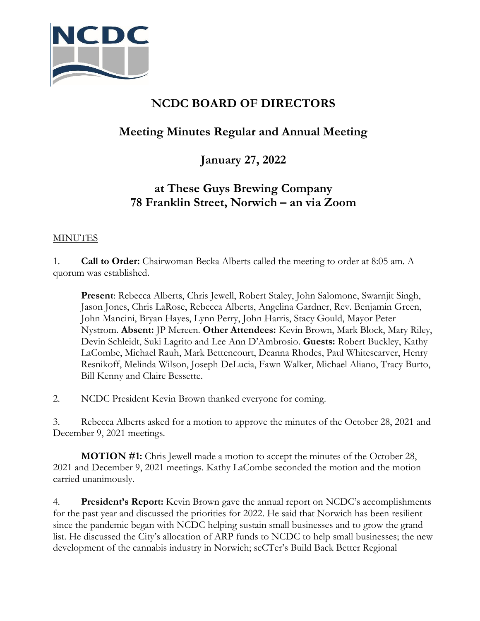

# **NCDC BOARD OF DIRECTORS**

## **Meeting Minutes Regular and Annual Meeting**

### **January 27, 2022**

### **at These Guys Brewing Company 78 Franklin Street, Norwich – an via Zoom**

#### **MINUTES**

1. **Call to Order:** Chairwoman Becka Alberts called the meeting to order at 8:05 am. A quorum was established.

**Present**: Rebecca Alberts, Chris Jewell, Robert Staley, John Salomone, Swarnjit Singh, Jason Jones, Chris LaRose, Rebecca Alberts, Angelina Gardner, Rev. Benjamin Green, John Mancini, Bryan Hayes, Lynn Perry, John Harris, Stacy Gould, Mayor Peter Nystrom. **Absent:** JP Mereen. **Other Attendees:** Kevin Brown, Mark Block, Mary Riley, Devin Schleidt, Suki Lagrito and Lee Ann D'Ambrosio. **Guests:** Robert Buckley, Kathy LaCombe, Michael Rauh, Mark Bettencourt, Deanna Rhodes, Paul Whitescarver, Henry Resnikoff, Melinda Wilson, Joseph DeLucia, Fawn Walker, Michael Aliano, Tracy Burto, Bill Kenny and Claire Bessette.

2. NCDC President Kevin Brown thanked everyone for coming.

3. Rebecca Alberts asked for a motion to approve the minutes of the October 28, 2021 and December 9, 2021 meetings.

**MOTION #1:** Chris Jewell made a motion to accept the minutes of the October 28, 2021 and December 9, 2021 meetings. Kathy LaCombe seconded the motion and the motion carried unanimously.

4. **President's Report:** Kevin Brown gave the annual report on NCDC's accomplishments for the past year and discussed the priorities for 2022. He said that Norwich has been resilient since the pandemic began with NCDC helping sustain small businesses and to grow the grand list. He discussed the City's allocation of ARP funds to NCDC to help small businesses; the new development of the cannabis industry in Norwich; seCTer's Build Back Better Regional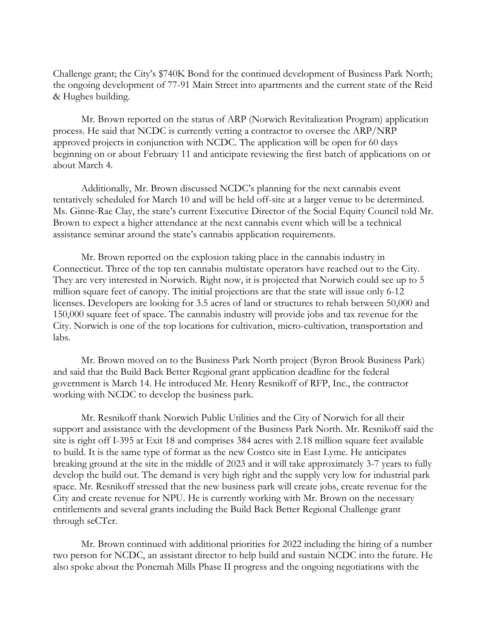Challenge grant; the City's \$740K Bond for the continued development of Business Park North; the ongoing development of 77-91 Main Street into apartments and the current state of the Reid & Hughes building.

Mr. Brown reported on the status of ARP (Norwich Revitalization Program) application process. He said that NCDC is currently vetting a contractor to oversee the ARP/NRP approved projects in conjunction with NCDC. The application will be open for 60 days beginning on or about February 11 and anticipate reviewing the first batch of applications on or about March 4.

Additionally, Mr. Brown discussed NCDC's planning for the next cannabis event tentatively scheduled for March 10 and will be held off-site at a larger venue to be determined. Ms. Ginne-Rae Clay, the state's current Executive Director of the Social Equity Council told Mr. Brown to expect a higher attendance at the next cannabis event which will be a technical assistance seminar around the state's cannabis application requirements.

Mr. Brown reported on the explosion taking place in the cannabis industry in Connecticut. Three of the top ten cannabis multistate operators have reached out to the City. They are very interested in Norwich. Right now, it is projected that Norwich could see up to 5 million square feet of canopy. The initial projections are that the state will issue only 6-12 licenses. Developers are looking for 3.5 acres of land or structures to rehab between 50,000 and 150,000 square feet of space. The cannabis industry will provide jobs and tax revenue for the City. Norwich is one of the top locations for cultivation, micro-cultivation, transportation and labs.

Mr. Brown moved on to the Business Park North project (Byron Brook Business Park) and said that the Build Back Better Regional grant application deadline for the federal government is March 14. He introduced Mr. Henry Resnikoff of RFP, Inc., the contractor working with NCDC to develop the business park.

Mr. Resnikoff thank Norwich Public Utilities and the City of Norwich for all their support and assistance with the development of the Business Park North. Mr. Resnikoff said the site is right off I-395 at Exit 18 and comprises 384 acres with 2.18 million square feet available to build. It is the same type of format as the new Costco site in East Lyme. He anticipates breaking ground at the site in the middle of 2023 and it will take approximately 3-7 years to fully develop the build out. The demand is very high right and the supply very low for industrial park space. Mr. Resnikoff stressed that the new business park will create jobs, create revenue for the City and create revenue for NPU. He is currently working with Mr. Brown on the necessary entitlements and several grants including the Build Back Better Regional Challenge grant through seCTer.

Mr. Brown continued with additional priorities for 2022 including the hiring of a number two person for NCDC, an assistant director to help build and sustain NCDC into the future. He also spoke about the Ponemah Mills Phase II progress and the ongoing negotiations with the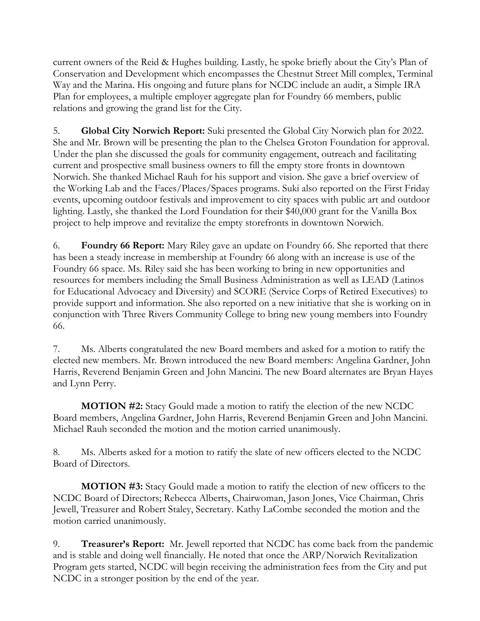current owners of the Reid & Hughes building. Lastly, he spoke briefly about the City's Plan of Conservation and Development which encompasses the Chestnut Street Mill complex, Terminal Way and the Marina. His ongoing and future plans for NCDC include an audit, a Simple IRA Plan for employees, a multiple employer aggregate plan for Foundry 66 members, public relations and growing the grand list for the City.

5. **Global City Norwich Report:** Suki presented the Global City Norwich plan for 2022. She and Mr. Brown will be presenting the plan to the Chelsea Groton Foundation for approval. Under the plan she discussed the goals for community engagement, outreach and facilitating current and prospective small business owners to fill the empty store fronts in downtown Norwich. She thanked Michael Rauh for his support and vision. She gave a brief overview of the Working Lab and the Faces/Places/Spaces programs. Suki also reported on the First Friday events, upcoming outdoor festivals and improvement to city spaces with public art and outdoor lighting. Lastly, she thanked the Lord Foundation for their \$40,000 grant for the Vanilla Box project to help improve and revitalize the empty storefronts in downtown Norwich.

6. **Foundry 66 Report:** Mary Riley gave an update on Foundry 66. She reported that there has been a steady increase in membership at Foundry 66 along with an increase is use of the Foundry 66 space. Ms. Riley said she has been working to bring in new opportunities and resources for members including the Small Business Administration as well as LEAD (Latinos for Educational Advocacy and Diversity) and SCORE (Service Corps of Retired Executives) to provide support and information. She also reported on a new initiative that she is working on in conjunction with Three Rivers Community College to bring new young members into Foundry 66.

7. Ms. Alberts congratulated the new Board members and asked for a motion to ratify the elected new members. Mr. Brown introduced the new Board members: Angelina Gardner, John Harris, Reverend Benjamin Green and John Mancini. The new Board alternates are Bryan Hayes and Lynn Perry.

**MOTION #2:** Stacy Gould made a motion to ratify the election of the new NCDC Board members, Angelina Gardner, John Harris, Reverend Benjamin Green and John Mancini. Michael Rauh seconded the motion and the motion carried unanimously.

8. Ms. Alberts asked for a motion to ratify the slate of new officers elected to the NCDC Board of Directors.

**MOTION #3:** Stacy Gould made a motion to ratify the election of new officers to the NCDC Board of Directors; Rebecca Alberts, Chairwoman, Jason Jones, Vice Chairman, Chris Jewell, Treasurer and Robert Staley, Secretary. Kathy LaCombe seconded the motion and the motion carried unanimously.

9. **Treasurer's Report:** Mr. Jewell reported that NCDC has come back from the pandemic and is stable and doing well financially. He noted that once the ARP/Norwich Revitalization Program gets started, NCDC will begin receiving the administration fees from the City and put NCDC in a stronger position by the end of the year.